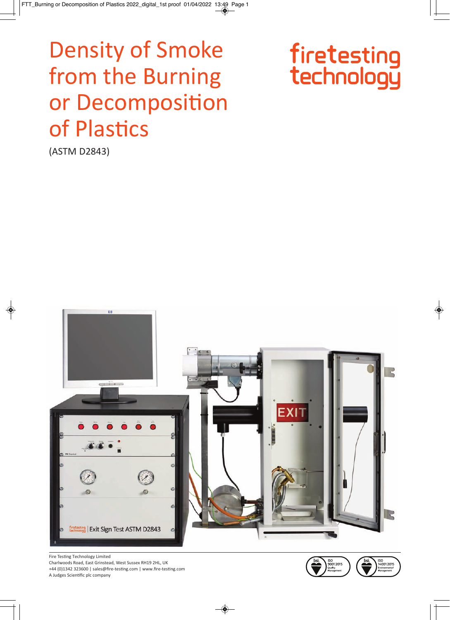# **Density of Smoke** from the Burning or Decomposition of Plastics



(ASTM D2843)



Fire Testing Technology Limited

Charlwoods Road, East Grinstead, West Sussex RH19 2HL, UK +44 (0)1342 323600 | sales@fire-testing.com | www.fire-testing.com A Judges Scientific plc company

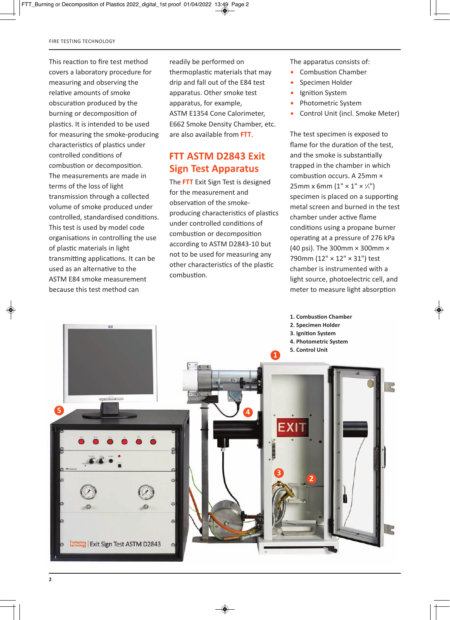This reaction to fire test method covers a laboratory procedure for measuring and observing the relative amounts of smoke obscuration produced by the burning or decomposition of plastics. It is intended to be used for measuring the smoke-producing characteristics of plastics under controlled conditions of combustion or decomposition. The measurements are made in terms of the loss of light transmission through a collected volume of smoke produced under controlled, standardised conditions. This test is used by model code organisations in controlling the use of plastic materials in light transmitting applications. It can be used as an alternative to the ASTM E84 smoke measurement because this test method can

readily be performed on thermoplastic materials that may drip and fall out of the E84 test apparatus. Other smoke test apparatus, for example, ASTM E1354 Cone Calorimeter, E662 Smoke Density Chamber, etc. are also available from **FTT**.

#### **FTT ASTM D2843 Exit Sign Test Apparatus**

The **FTT** Exit Sign Test is designed for the measurement and observation of the smokeproducing characteristics of plastics under controlled conditions of combustion or decomposition according to ASTM D2843-10 but not to be used for measuring any other characteristics of the plastic combustion.

The apparatus consists of:

- Combustion Chamber
- Specimen Holder
- Ignition System
- Photometric System
- Control Unit (incl. Smoke Meter)

The test specimen is exposed to flame for the duration of the test, and the smoke is substantially trapped in the chamber in which combustion occurs. A 25mm × 25mm x 6mm  $(1'' \times 1'' \times 1''')$ specimen is placed on a supporting metal screen and burned in the test chamber under active flame conditions using a propane burner operating at a pressure of 276 kPa (40 psi). The 300mm × 300mm × 790mm (12" × 12" × 31") test chamber is instrumented with a light source, photoelectric cell, and meter to measure light absorption

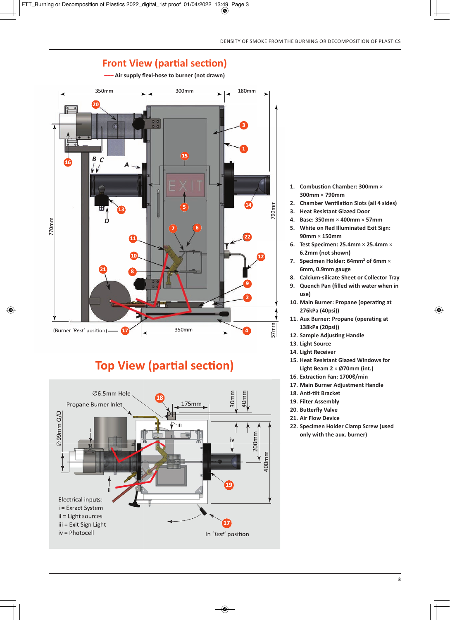

**–––** Air supply flexi-hose to burner (not drawn)

# **Top View (partial section)**



- **1. Combustion Chamber: 300mm** × **300mm** × **790mm**
- **2. Chamber Ventilation Slots (all 4 sides)**
- **3. Heat Resistant Glazed Door**
- **4. Base: 350mm** × **400mm** × **57mm**
- **5. White on Red Illuminated Exit Sign: 90mm** × **150mm**
- **6. Test Specimen: 25.4mm** × **25.4mm** × **6.2mm (not shown)**
- **7. Specimen Holder: 64mm2 of 6mm** × **6mm, 0.9mm gauge**
- **8. Calcium-silicate Sheet or Collector Tray**
- **9. Quench Pan (filled with water when in use)**
- **10. Main Burner: Propane (operating at 276kPa (40psi))**
- **11. Aux Burner: Propane (operating at 138kPa (20psi))**
- **12. Sample Adjusting Handle**
- **13. Light Source**
- **14. Light Receiver**
- **15. Heat Resistant Glazed Windows for Light Beam 2** × **Ø70mm (int.)**
- **16. Extraction Fan: 1700ℓ/min**
- **17. Main Burner Adjustment Handle**
- 18. Anti-tilt Bracket
- **19. Filter Assembly**
- **20. Butterfly Valve**
- **21. Air Flow Device**
- **22. Specimen Holder Clamp Screw (used only with the aux. burner)**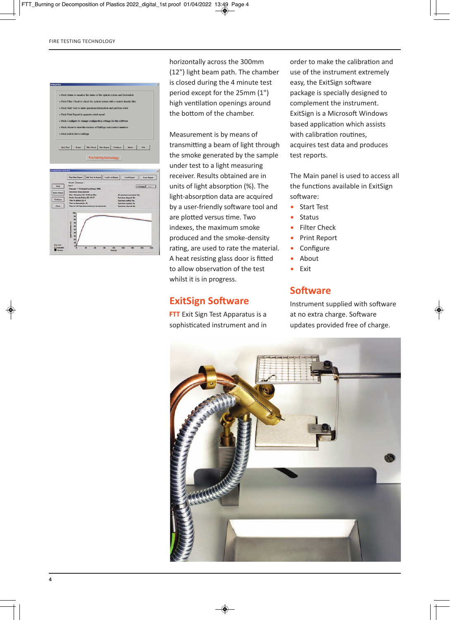

horizontally across the 300mm (12") light beam path. The chamber is closed during the 4 minute test period except for the 25mm (1") high ventilation openings around the bottom of the chamber.

Measurement is by means of transmitting a beam of light through the smoke generated by the sample under test to a light measuring receiver. Results obtained are in units of light absorption (%). The light-absorption data are acquired by a user-friendly software tool and are plotted versus time. Two indexes, the maximum smoke produced and the smoke-density rating, are used to rate the material. A heat resisting glass door is fitted to allow observation of the test whilst it is in progress.

#### **ExitSign Software**

**FTT** Exit Sign Test Apparatus is a sophisticated instrument and in order to make the calibration and use of the instrument extremely easy, the ExitSign software package is specially designed to complement the instrument. ExitSign is a Microsoft Windows based application which assists with calibration routines, acquires test data and produces test reports.

The Main panel is used to access all the functions available in ExitSign software:

- Start Test
- Status
- Filter Check
- Print Report
- Configure
- About
- Exit

#### **Software**

Instrument supplied with software at no extra charge. Software updates provided free of charge.



**4**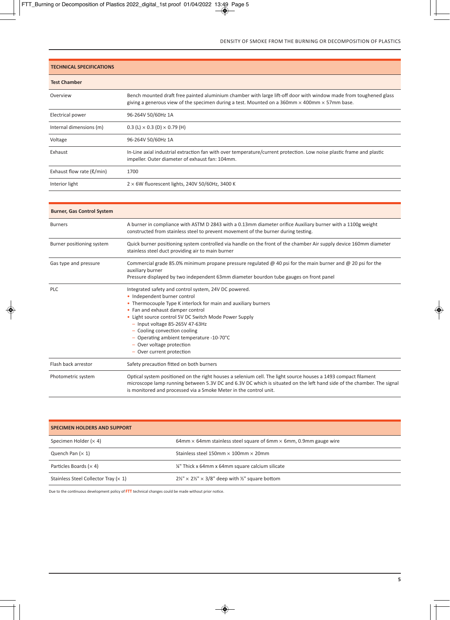| <b>TECHNICAL SPECIFICATIONS</b> |                                                                                                                                                                                                                                  |  |
|---------------------------------|----------------------------------------------------------------------------------------------------------------------------------------------------------------------------------------------------------------------------------|--|
| <b>Test Chamber</b>             |                                                                                                                                                                                                                                  |  |
| Overview                        | Bench mounted draft free painted aluminium chamber with large lift-off door with window made from toughened glass<br>giving a generous view of the specimen during a test. Mounted on a 360mm $\times$ 400mm $\times$ 57mm base. |  |
| Electrical power                | 96-264V 50/60Hz 1A                                                                                                                                                                                                               |  |
| Internal dimensions (m)         | 0.3 (L) $\times$ 0.3 (D) $\times$ 0.79 (H)                                                                                                                                                                                       |  |
| Voltage                         | 96-264V 50/60Hz 1A                                                                                                                                                                                                               |  |
| Exhaust                         | In-Line axial industrial extraction fan with over temperature/current protection. Low noise plastic frame and plastic<br>impeller. Outer diameter of exhaust fan: 104mm.                                                         |  |
| Exhaust flow rate $(\ell/min)$  | 1700                                                                                                                                                                                                                             |  |
| Interior light                  | $2 \times 6$ W fluorescent lights, 240V 50/60Hz, 3400 K                                                                                                                                                                          |  |

| <b>Burner, Gas Control System</b> |                                                                                                                                                                                                                                                                                                                                                                                                                                            |  |
|-----------------------------------|--------------------------------------------------------------------------------------------------------------------------------------------------------------------------------------------------------------------------------------------------------------------------------------------------------------------------------------------------------------------------------------------------------------------------------------------|--|
| <b>Burners</b>                    | A burner in compliance with ASTM D 2843 with a 0.13mm diameter orifice Auxiliary burner with a 1100g weight<br>constructed from stainless steel to prevent movement of the burner during testing.                                                                                                                                                                                                                                          |  |
| Burner positioning system         | Quick burner positioning system controlled via handle on the front of the chamber Air supply device 160mm diameter<br>stainless steel duct providing air to main burner                                                                                                                                                                                                                                                                    |  |
| Gas type and pressure             | Commercial grade 85.0% minimum propane pressure regulated $\omega$ 40 psi for the main burner and $\omega$ 20 psi for the<br>auxiliary burner<br>Pressure displayed by two independent 63mm diameter bourdon tube gauges on front panel                                                                                                                                                                                                    |  |
| <b>PLC</b>                        | Integrated safety and control system, 24V DC powered.<br>• Independent burner control<br>• Thermocouple Type K interlock for main and auxiliary burners<br>• Fan and exhaust damper control<br>• Light source control 5V DC Switch Mode Power Supply<br>$-$ Input voltage 85-265V 47-63Hz<br>- Cooling convection cooling<br>- Operating ambient temperature -10-70 $^{\circ}$ C<br>- Over voltage protection<br>- Over current protection |  |
| Flash back arrestor               | Safety precaution fitted on both burners                                                                                                                                                                                                                                                                                                                                                                                                   |  |
| Photometric system                | Optical system positioned on the right houses a selenium cell. The light source houses a 1493 compact filament<br>microscope lamp running between 5.3V DC and 6.3V DC which is situated on the left hand side of the chamber. The signal<br>is monitored and processed via a Smoke Meter in the control unit.                                                                                                                              |  |

| <b>SPECIMEN HOLDERS AND SUPPORT</b>          |                                                                                 |  |
|----------------------------------------------|---------------------------------------------------------------------------------|--|
| Specimen Holder $(x 4)$                      | 64mm $\times$ 64mm stainless steel square of 6mm $\times$ 6mm, 0.9mm gauge wire |  |
| Quench Pan $(x 1)$                           | Stainless steel 150mm $\times$ 100mm $\times$ 20mm                              |  |
| Particles Boards ( $\times$ 4)               | 1/4" Thick x 64mm x 64mm square calcium silicate                                |  |
| Stainless Steel Collector Tray ( $\times$ 1) | $2\frac{1}{2}$ × 2½" × 3/8" deep with ½" square bottom                          |  |

Due to the continuous development policy of **FTT** technical changes could be made without prior notice.